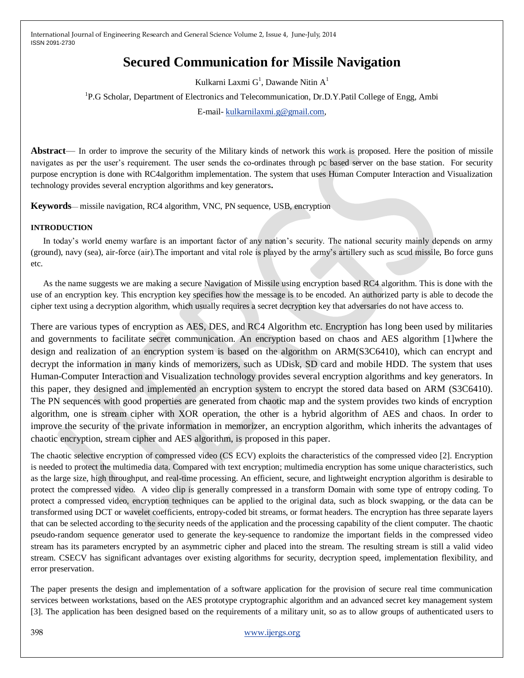# **Secured Communication for Missile Navigation**

Kulkarni Laxmi  $G^1$ , Dawande Nitin  $A^1$ 

<sup>1</sup>P.G Scholar, Department of Electronics and Telecommunication, Dr.D.Y.Patil College of Engg, Ambi

E-mail- [kulkarnilaxmi.g@gmail.com,](mailto:kulkarnilaxmi.g@gmail.com)

**Abstract**— In order to improve the security of the Military kinds of network this work is proposed. Here the position of missile navigates as per the user's requirement. The user sends the co-ordinates through pc based server on the base station. For security purpose encryption is done with RC4algorithm implementation. The system that uses Human Computer Interaction and Visualization technology provides several encryption algorithms and key generators**.** 

**Keywords**— missile navigation, RC4 algorithm, VNC, PN sequence, USB, encryption

## **INTRODUCTION**

In today's world enemy warfare is an important factor of any nation's security. The national security mainly depends on army (ground), navy (sea), air-force (air).The important and vital role is played by the army's artillery such as scud missile, Bo force guns etc.

As the name suggests we are making a secure Navigation of Missile using encryption based RC4 algorithm. This is done with the use of an encryption key. This encryption key specifies how the message is to be encoded. An authorized party is able to decode the cipher text using a decryption algorithm, which usually requires a secret decryption key that adversaries do not have access to.

There are various types of encryption as AES, DES, and RC4 Algorithm etc. Encryption has long been used by militaries and governments to facilitate secret communication. An encryption based on chaos and AES algorithm [1]where the design and realization of an encryption system is based on the algorithm on ARM(S3C6410), which can encrypt and decrypt the information in many kinds of memorizers, such as UDisk, SD card and mobile HDD. The system that uses Human-Computer Interaction and Visualization technology provides several encryption algorithms and key generators. In this paper, they designed and implemented an encryption system to encrypt the stored data based on ARM (S3C6410). The PN sequences with good properties are generated from chaotic map and the system provides two kinds of encryption algorithm, one is stream cipher with XOR operation, the other is a hybrid algorithm of AES and chaos. In order to improve the security of the private information in memorizer, an encryption algorithm, which inherits the advantages of chaotic encryption, stream cipher and AES algorithm, is proposed in this paper.

The chaotic selective encryption of compressed video (CS ECV) exploits the characteristics of the compressed video [2]. Encryption is needed to protect the multimedia data. Compared with text encryption; multimedia encryption has some unique characteristics, such as the large size, high throughput, and real-time processing. An efficient, secure, and lightweight encryption algorithm is desirable to protect the compressed video. A video clip is generally compressed in a transform Domain with some type of entropy coding. To protect a compressed video, encryption techniques can be applied to the original data, such as block swapping, or the data can be transformed using DCT or wavelet coefficients, entropy-coded bit streams, or format headers. The encryption has three separate layers that can be selected according to the security needs of the application and the processing capability of the client computer. The chaotic pseudo-random sequence generator used to generate the key-sequence to randomize the important fields in the compressed video stream has its parameters encrypted by an asymmetric cipher and placed into the stream. The resulting stream is still a valid video stream. CSECV has significant advantages over existing algorithms for security, decryption speed, implementation flexibility, and error preservation.

The paper presents the design and implementation of a software application for the provision of secure real time communication services between workstations, based on the AES prototype cryptographic algorithm and an advanced secret key management system [3]. The application has been designed based on the requirements of a military unit, so as to allow groups of authenticated users to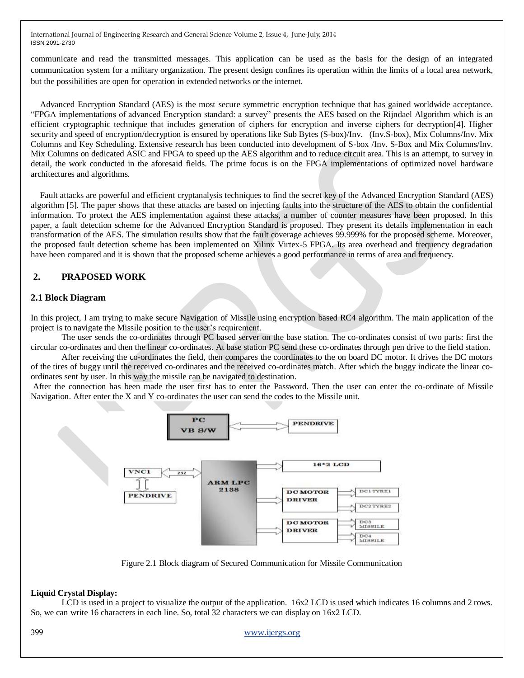communicate and read the transmitted messages. This application can be used as the basis for the design of an integrated communication system for a military organization. The present design confines its operation within the limits of a local area network, but the possibilities are open for operation in extended networks or the internet.

Advanced Encryption Standard (AES) is the most secure symmetric encryption technique that has gained worldwide acceptance. ―FPGA implementations of advanced Encryption standard: a survey‖ presents the AES based on the Rijndael Algorithm which is an efficient cryptographic technique that includes generation of ciphers for encryption and inverse ciphers for decryption[4]. Higher security and speed of encryption/decryption is ensured by operations like Sub Bytes (S-box)/Inv. (Inv.S-box), Mix Columns/Inv. Mix Columns and Key Scheduling. Extensive research has been conducted into development of S-box /Inv. S-Box and Mix Columns/Inv. Mix Columns on dedicated ASIC and FPGA to speed up the AES algorithm and to reduce circuit area. This is an attempt, to survey in detail, the work conducted in the aforesaid fields. The prime focus is on the FPGA implementations of optimized novel hardware architectures and algorithms.

Fault attacks are powerful and efficient cryptanalysis techniques to find the secret key of the Advanced Encryption Standard (AES) algorithm [5]. The paper shows that these attacks are based on injecting faults into the structure of the AES to obtain the confidential information. To protect the AES implementation against these attacks, a number of counter measures have been proposed. In this paper, a fault detection scheme for the Advanced Encryption Standard is proposed. They present its details implementation in each transformation of the AES. The simulation results show that the fault coverage achieves 99.999% for the proposed scheme. Moreover, the proposed fault detection scheme has been implemented on Xilinx Virtex-5 FPGA. Its area overhead and frequency degradation have been compared and it is shown that the proposed scheme achieves a good performance in terms of area and frequency.

## **2. PRAPOSED WORK**

## **2.1 Block Diagram**

In this project, I am trying to make secure Navigation of Missile using encryption based RC4 algorithm. The main application of the project is to navigate the Missile position to the user's requirement.

The user sends the co-ordinates through PC based server on the base station. The co-ordinates consist of two parts: first the circular co-ordinates and then the linear co-ordinates. At base station PC send these co-ordinates through pen drive to the field station.

After receiving the co-ordinates the field, then compares the coordinates to the on board DC motor. It drives the DC motors of the tires of buggy until the received co-ordinates and the received co-ordinates match. After which the buggy indicate the linear coordinates sent by user. In this way the missile can be navigated to destination.

After the connection has been made the user first has to enter the Password. Then the user can enter the co-ordinate of Missile Navigation. After enter the X and Y co-ordinates the user can send the codes to the Missile unit.



Figure 2.1 Block diagram of Secured Communication for Missile Communication

#### **Liquid Crystal Display:**

LCD is used in a project to visualize the output of the application.  $16x2$  LCD is used which indicates 16 columns and 2 rows. So, we can write 16 characters in each line. So, total 32 characters we can display on 16x2 LCD.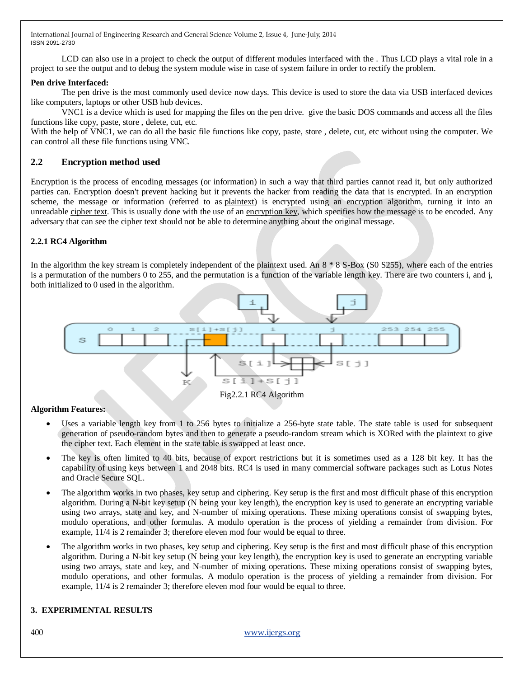LCD can also use in a project to check the output of different modules interfaced with the. Thus LCD plays a vital role in a project to see the output and to debug the system module wise in case of system failure in order to rectify the problem.

## **Pen drive Interfaced:**

The pen drive is the most commonly used device now days. This device is used to store the data via USB interfaced devices like computers, laptops or other USB hub devices.

VNC1 is a device which is used for mapping the files on the pen drive. give the basic DOS commands and access all the files functions like copy, paste, store , delete, cut, etc.

With the help of VNC1, we can do all the basic file functions like copy, paste, store , delete, cut, etc without using the computer. We can control all these file functions using VNC.

## **2.2 Encryption method used**

Encryption is the process of encoding messages (or information) in such a way that third parties cannot read it, but only authorized parties can. Encryption doesn't prevent hacking but it prevents the hacker from reading the data that is encrypted. In an encryption scheme, the message or information (referred to as [plaintext\)](http://en.wikipedia.org/wiki/Plaintext) is encrypted using an encryption algorithm, turning it into an unreadable [cipher text.](http://en.wikipedia.org/wiki/Ciphertext) This is usually done with the use of an [encryption key,](http://en.wikipedia.org/wiki/Key_(cryptography)) which specifies how the message is to be encoded. Any adversary that can see the cipher text should not be able to determine anything about the original message.

## **2.2.1 RC4 Algorithm**

In the algorithm the key stream is completely independent of the plaintext used. An  $8 * 8$  S-Box (S0 S255), where each of the entries is a permutation of the numbers 0 to 255, and the permutation is a function of the variable length key. There are two counters i, and j, both initialized to 0 used in the algorithm.



## **Algorithm Features:**

- Uses a variable length key from 1 to 256 bytes to initialize a 256-byte state table. The state table is used for subsequent generation of pseudo-random bytes and then to generate a pseudo-random stream which is XORed with the plaintext to give the cipher text. Each element in the state table is swapped at least once.
- The key is often limited to 40 bits, because of export restrictions but it is sometimes used as a 128 bit key. It has the capability of using keys between 1 and 2048 bits. RC4 is used in many commercial software packages such as Lotus Notes and Oracle Secure SQL.
- The algorithm works in two phases, key setup and ciphering. Key setup is the first and most difficult phase of this encryption algorithm. During a N-bit key setup (N being your key length), the encryption key is used to generate an encrypting variable using two arrays, state and key, and N-number of mixing operations. These mixing operations consist of swapping bytes, modulo operations, and other formulas. A modulo operation is the process of yielding a remainder from division. For example, 11/4 is 2 remainder 3; therefore eleven mod four would be equal to three.
- The algorithm works in two phases, key setup and ciphering. Key setup is the first and most difficult phase of this encryption algorithm. During a N-bit key setup (N being your key length), the encryption key is used to generate an encrypting variable using two arrays, state and key, and N-number of mixing operations. These mixing operations consist of swapping bytes, modulo operations, and other formulas. A modulo operation is the process of yielding a remainder from division. For example, 11/4 is 2 remainder 3; therefore eleven mod four would be equal to three.

## **3. EXPERIMENTAL RESULTS**

#### 400 [www.ijergs.org](http://www.ijergs.org/)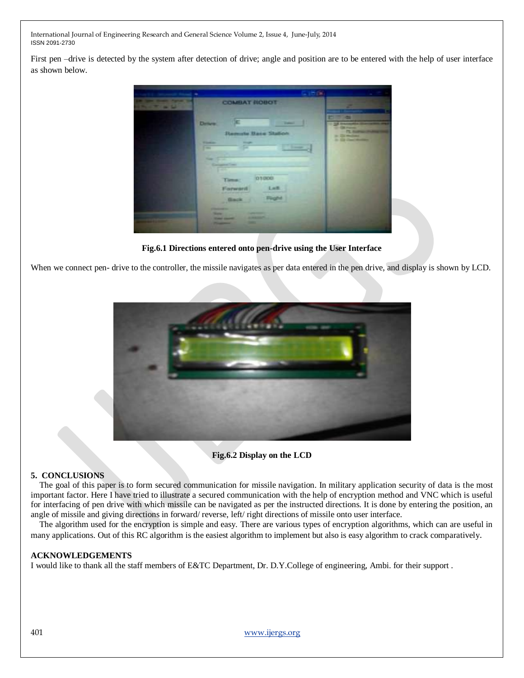First pen –drive is detected by the system after detection of drive; angle and position are to be entered with the help of user interface as shown below.

**COMMANDATION** 

**Fig.6.1 Directions entered onto pen-drive using the User Interface**

When we connect pen- drive to the controller, the missile navigates as per data entered in the pen drive, and display is shown by LCD.



**Fig.6.2 Display on the LCD**

## **5. CONCLUSIONS**

The goal of this paper is to form secured communication for missile navigation. In military application security of data is the most important factor. Here I have tried to illustrate a secured communication with the help of encryption method and VNC which is useful for interfacing of pen drive with which missile can be navigated as per the instructed directions. It is done by entering the position, an angle of missile and giving directions in forward/ reverse, left/ right directions of missile onto user interface.

The algorithm used for the encryption is simple and easy. There are various types of encryption algorithms, which can are useful in many applications. Out of this RC algorithm is the easiest algorithm to implement but also is easy algorithm to crack comparatively.

#### **ACKNOWLEDGEMENTS**

I would like to thank all the staff members of E&TC Department, Dr. D.Y.College of engineering, Ambi. for their support .